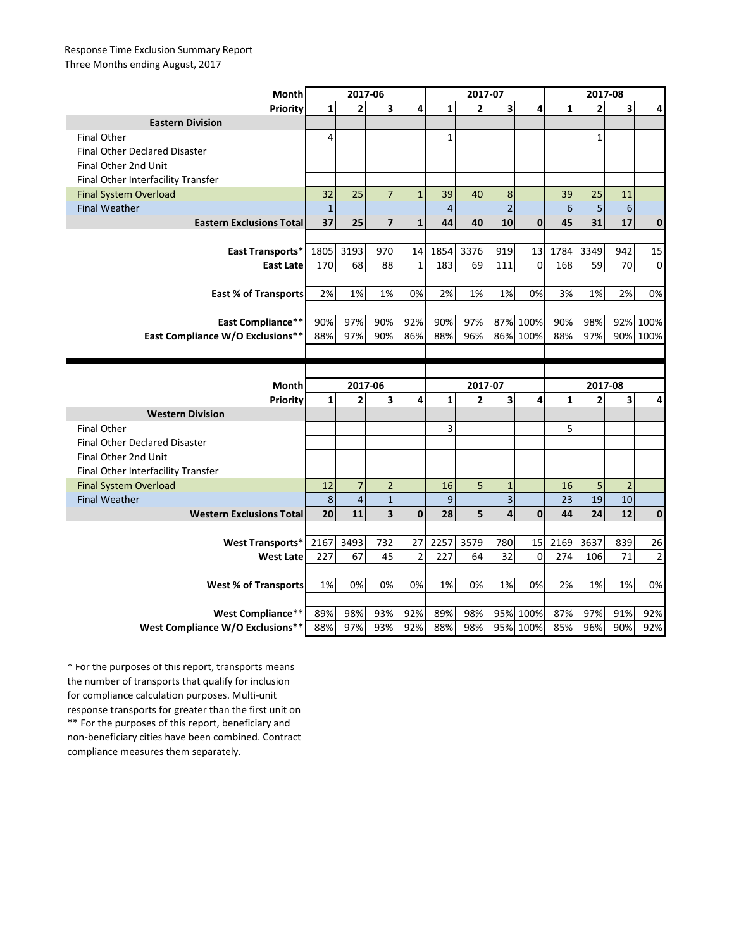## Response Time Exclusion Summary Report Three Months ending August, 2017

| Month                                | 2017-06        |                |                         |                | 2017-07        |                |                         |              | 2017-08      |                         |                |             |
|--------------------------------------|----------------|----------------|-------------------------|----------------|----------------|----------------|-------------------------|--------------|--------------|-------------------------|----------------|-------------|
| Priority                             | $\mathbf{1}$   | $\overline{2}$ | $\overline{\mathbf{3}}$ | 4              | $\mathbf{1}$   | $\overline{2}$ | $\overline{\mathbf{3}}$ | 4            | $\mathbf{1}$ | $\overline{2}$          | 3              | 4           |
| <b>Eastern Division</b>              |                |                |                         |                |                |                |                         |              |              |                         |                |             |
| <b>Final Other</b>                   | $\overline{4}$ |                |                         |                | $\mathbf{1}$   |                |                         |              |              | $\mathbf{1}$            |                |             |
| <b>Final Other Declared Disaster</b> |                |                |                         |                |                |                |                         |              |              |                         |                |             |
| Final Other 2nd Unit                 |                |                |                         |                |                |                |                         |              |              |                         |                |             |
| Final Other Interfacility Transfer   |                |                |                         |                |                |                |                         |              |              |                         |                |             |
| <b>Final System Overload</b>         | 32             | 25             | $\overline{7}$          | $\mathbf{1}$   | 39             | 40             | 8                       |              | 39           | 25                      | 11             |             |
| <b>Final Weather</b>                 | $1\,$          |                |                         |                | $\overline{4}$ |                | $\overline{2}$          |              | 6            | 5                       | 6              |             |
| <b>Eastern Exclusions Total</b>      | 37             | 25             | $\overline{7}$          | $\mathbf{1}$   | 44             | 40             | 10                      | $\mathbf{0}$ | 45           | 31                      | 17             | 0           |
|                                      |                |                |                         |                |                |                |                         |              |              |                         |                |             |
| <b>East Transports*</b>              | 1805           | 3193           | 970                     | 14             | 1854           | 3376           | 919                     | 13           | 1784         | 3349                    | 942            | 15          |
| <b>East Late</b>                     | 170            | 68             | 88                      | $\mathbf{1}$   | 183            | 69             | 111                     | $\Omega$     | 168          | 59                      | 70             | $\mathbf 0$ |
|                                      |                |                |                         |                |                |                |                         |              |              |                         |                |             |
| <b>East % of Transports</b>          | 2%             | 1%             | 1%                      | 0%             | 2%             | 1%             | 1%                      | 0%           | 3%           | 1%                      | 2%             | 0%          |
|                                      |                |                |                         |                |                |                |                         |              |              |                         |                |             |
| <b>East Compliance**</b>             | 90%            | 97%            | 90%                     | 92%            | 90%            | 97%            |                         | 87% 100%     | 90%          | 98%                     | 92%            | 100%        |
| East Compliance W/O Exclusions**     | 88%            | 97%            | 90%                     | 86%            | 88%            | 96%            |                         | 86% 100%     | 88%          | 97%                     | 90%            | 100%        |
|                                      |                |                |                         |                |                |                |                         |              |              |                         |                |             |
|                                      |                |                |                         |                |                |                |                         |              |              |                         |                |             |
|                                      |                |                |                         |                |                |                |                         |              |              |                         |                |             |
| Month                                |                | 2017-06        |                         |                |                | 2017-07        |                         |              |              | 2017-08                 |                |             |
| Priority                             | $\mathbf{1}$   | 2              | 3                       | 4              | $\mathbf{1}$   | $\overline{2}$ | 3                       | 4            | $\mathbf{1}$ | $\overline{\mathbf{2}}$ | 3              | 4           |
| <b>Western Division</b>              |                |                |                         |                |                |                |                         |              |              |                         |                |             |
| <b>Final Other</b>                   |                |                |                         |                | 3              |                |                         |              | 5            |                         |                |             |
| <b>Final Other Declared Disaster</b> |                |                |                         |                |                |                |                         |              |              |                         |                |             |
| Final Other 2nd Unit                 |                |                |                         |                |                |                |                         |              |              |                         |                |             |
| Final Other Interfacility Transfer   |                |                |                         |                |                |                |                         |              |              |                         |                |             |
| <b>Final System Overload</b>         | 12             | $\overline{7}$ | $\overline{2}$          |                | 16             | 5              | $\mathbf 1$             |              | 16           | 5                       | $\overline{c}$ |             |
| <b>Final Weather</b>                 | 8              | $\overline{4}$ | $\mathbf{1}$            |                | 9              |                | $\overline{3}$          |              | 23           | 19                      | 10             |             |
| <b>Western Exclusions Total</b>      | 20             | 11             | $\overline{\mathbf{3}}$ | $\mathbf{0}$   | 28             | 5              | $\overline{\mathbf{A}}$ | $\mathbf 0$  | 44           | 24                      | 12             | $\mathbf 0$ |
|                                      |                |                |                         |                |                |                |                         |              |              |                         |                |             |
| <b>West Transports*</b>              | 2167           | 3493           | 732                     | 27             | 2257           | 3579           | 780                     | 15           | 2169         | 3637                    | 839            | 26          |
| <b>West Late</b>                     | 227            | 67             | 45                      | $\overline{2}$ | 227            | 64             | 32                      | $\mathbf 0$  | 274          | 106                     | 71             | $\mathbf 2$ |
|                                      |                |                |                         |                |                |                |                         |              |              |                         |                |             |
| <b>West % of Transports</b>          | 1%             | 0%             | 0%                      | 0%             | 1%             | 0%             | 1%                      | 0%           | 2%           | 1%                      | 1%             | 0%          |
|                                      |                |                |                         |                |                |                |                         |              |              |                         |                |             |
| <b>West Compliance**</b>             | 89%            | 98%            | 93%                     | 92%            | 89%            | 98%            |                         | 95% 100%     | 87%          | 97%                     | 91%            | 92%         |

\*\* For the purposes of this report, beneficiary and non-beneficiary cities have been combined. Contract compliance measures them separately. \* For the purposes of this report, transports means the number of transports that qualify for inclusion for compliance calculation purposes. Multi-unit response transports for greater than the first unit on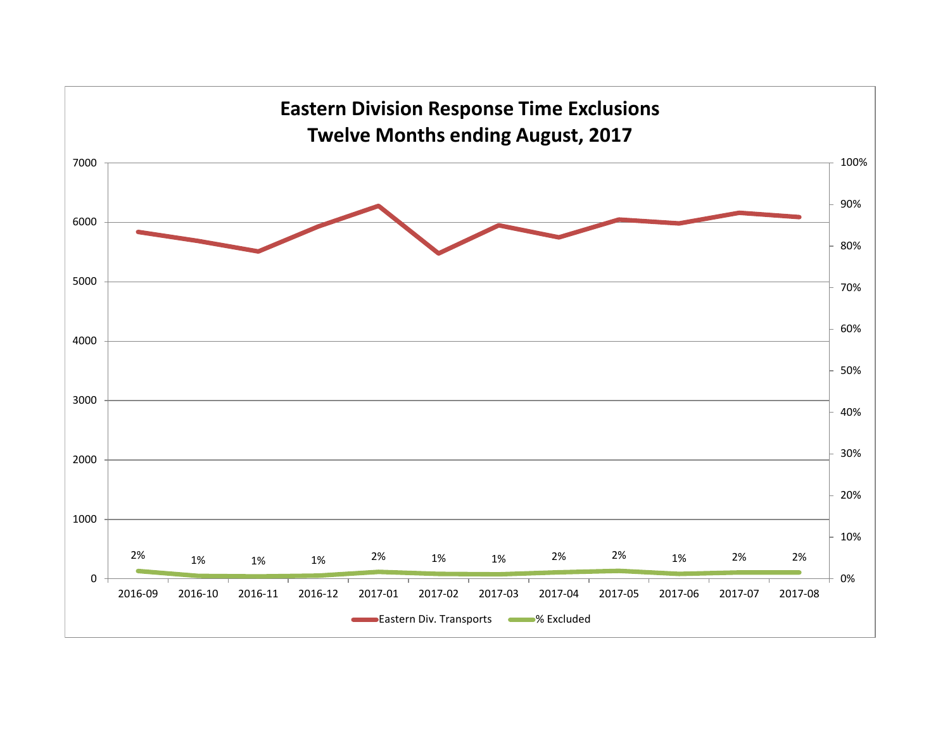